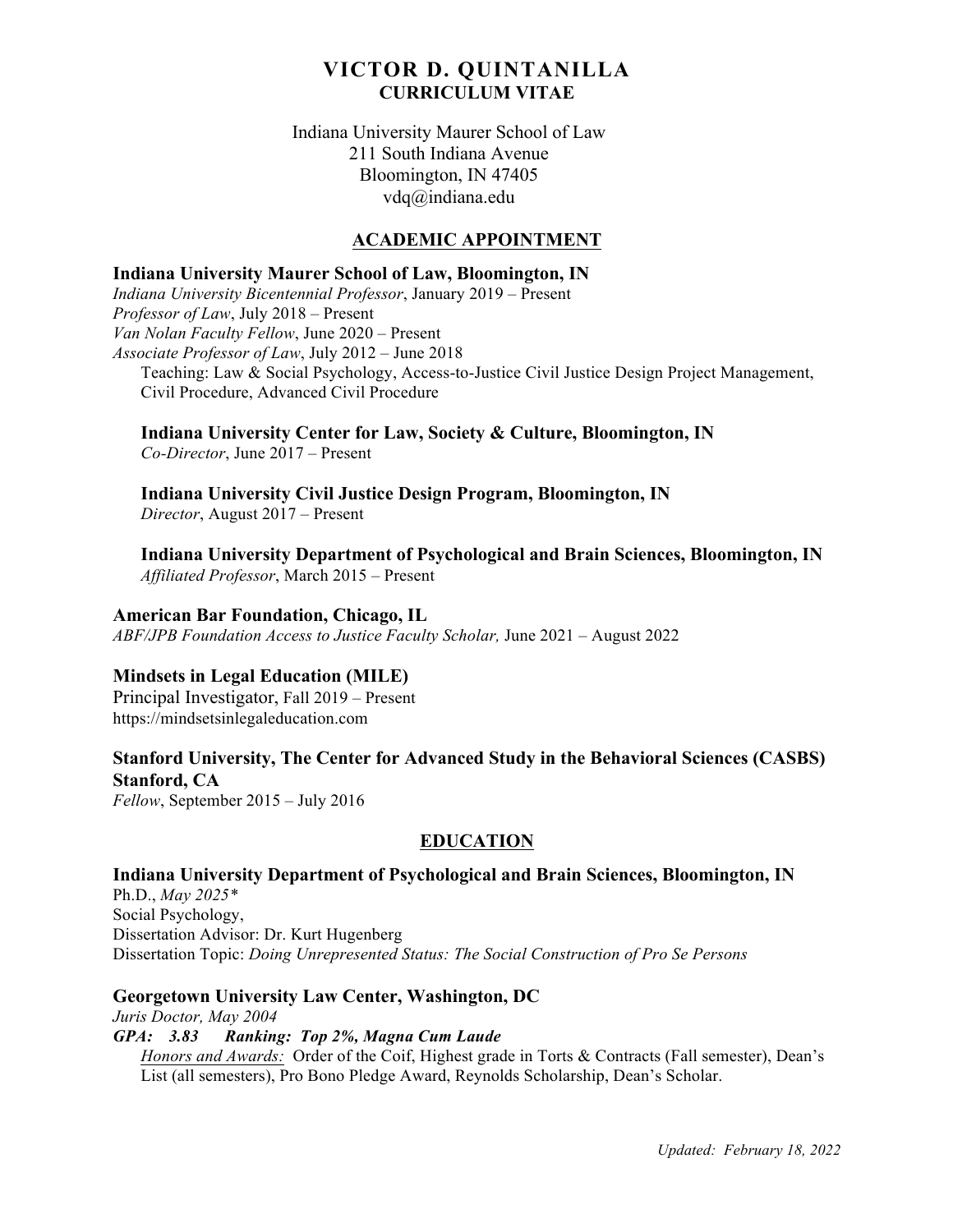# **VICTOR D. QUINTANILLA CURRICULUM VITAE**

## Indiana University Maurer School of Law 211 South Indiana Avenue Bloomington, IN 47405 vdq@indiana.edu

## **ACADEMIC APPOINTMENT**

## **Indiana University Maurer School of Law, Bloomington, IN**

*Indiana University Bicentennial Professor*, January 2019 – Present *Professor of Law*, July 2018 – Present *Van Nolan Faculty Fellow*, June 2020 – Present *Associate Professor of Law*, July 2012 – June 2018 Teaching: Law & Social Psychology, Access-to-Justice Civil Justice Design Project Management, Civil Procedure, Advanced Civil Procedure

**Indiana University Center for Law, Society & Culture, Bloomington, IN**

*Co-Director*, June 2017 – Present

**Indiana University Civil Justice Design Program, Bloomington, IN** *Director*, August 2017 – Present

**Indiana University Department of Psychological and Brain Sciences, Bloomington, IN** *Affiliated Professor*, March 2015 – Present

**American Bar Foundation, Chicago, IL**

*ABF/JPB Foundation Access to Justice Faculty Scholar,* June 2021 – August 2022

## **Mindsets in Legal Education (MILE)**

Principal Investigator, Fall 2019 – Present https://mindsetsinlegaleducation.com

# **Stanford University, The Center for Advanced Study in the Behavioral Sciences (CASBS) Stanford, CA**

*Fellow*, September 2015 – July 2016

# **EDUCATION**

**Indiana University Department of Psychological and Brain Sciences, Bloomington, IN** Ph.D., *May 2025\** Social Psychology, Dissertation Advisor: Dr. Kurt Hugenberg Dissertation Topic: *Doing Unrepresented Status: The Social Construction of Pro Se Persons*

## **Georgetown University Law Center, Washington, DC**

*Juris Doctor, May 2004 GPA: 3.83 Ranking: Top 2%, Magna Cum Laude Honors and Awards:* Order of the Coif, Highest grade in Torts & Contracts (Fall semester), Dean's List (all semesters), Pro Bono Pledge Award, Reynolds Scholarship, Dean's Scholar.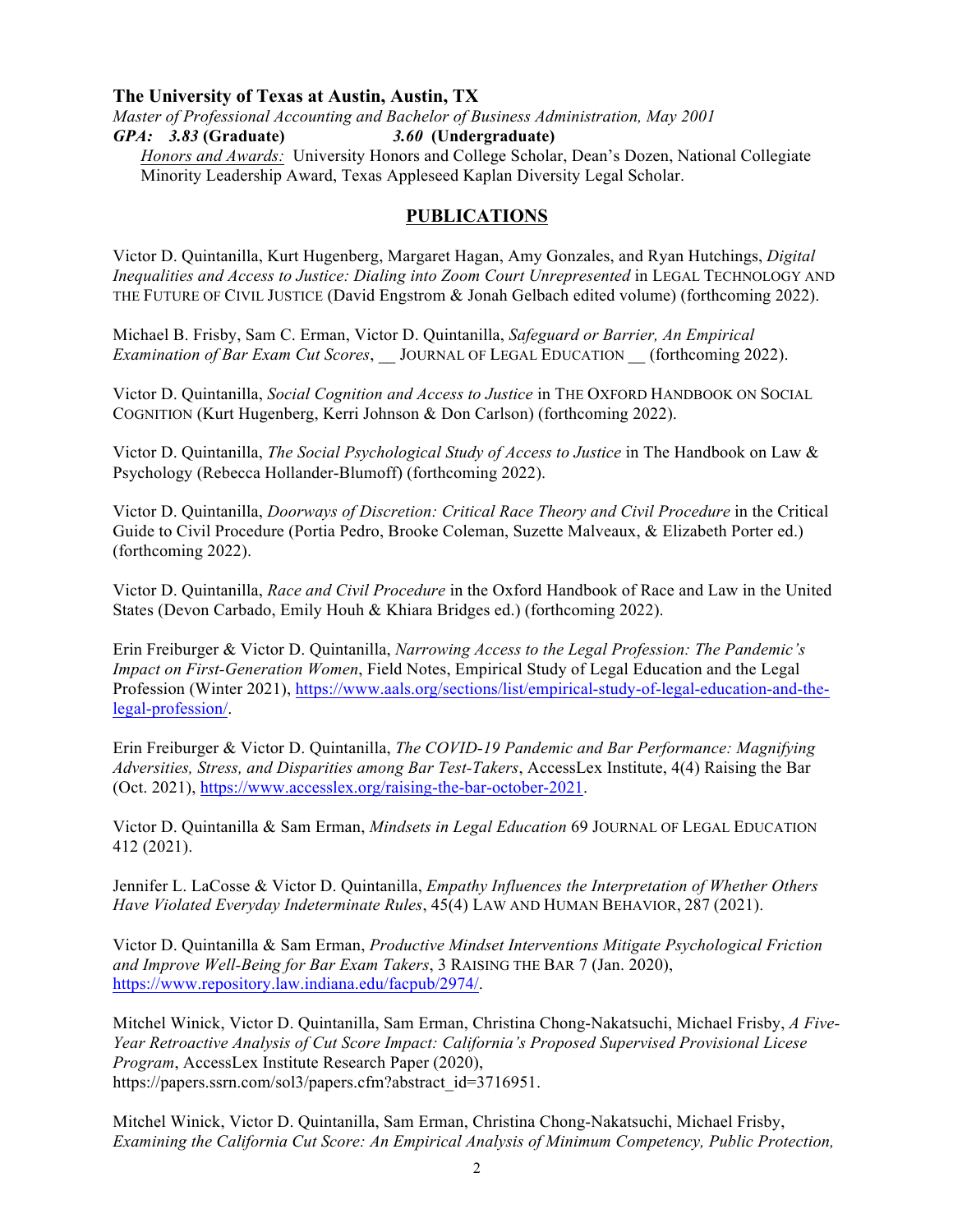## **The University of Texas at Austin, Austin, TX**

*Master of Professional Accounting and Bachelor of Business Administration, May 2001* 

*GPA:**3.83* **(Graduate)** *3.60* **(Undergraduate)**

*Honors and Awards:* University Honors and College Scholar, Dean's Dozen, National Collegiate Minority Leadership Award, Texas Appleseed Kaplan Diversity Legal Scholar.

# **PUBLICATIONS**

Victor D. Quintanilla, Kurt Hugenberg, Margaret Hagan, Amy Gonzales, and Ryan Hutchings, *Digital Inequalities and Access to Justice: Dialing into Zoom Court Unrepresented* in LEGAL TECHNOLOGY AND THE FUTURE OF CIVIL JUSTICE (David Engstrom & Jonah Gelbach edited volume) (forthcoming 2022).

Michael B. Frisby, Sam C. Erman, Victor D. Quintanilla, *Safeguard or Barrier, An Empirical Examination of Bar Exam Cut Scores*, \_\_ JOURNAL OF LEGAL EDUCATION \_\_ (forthcoming 2022).

Victor D. Quintanilla, *Social Cognition and Access to Justice* in THE OXFORD HANDBOOK ON SOCIAL COGNITION (Kurt Hugenberg, Kerri Johnson & Don Carlson) (forthcoming 2022).

Victor D. Quintanilla, *The Social Psychological Study of Access to Justice* in The Handbook on Law & Psychology (Rebecca Hollander-Blumoff) (forthcoming 2022).

Victor D. Quintanilla, *Doorways of Discretion: Critical Race Theory and Civil Procedure* in the Critical Guide to Civil Procedure (Portia Pedro, Brooke Coleman, Suzette Malveaux, & Elizabeth Porter ed.) (forthcoming 2022).

Victor D. Quintanilla, *Race and Civil Procedure* in the Oxford Handbook of Race and Law in the United States (Devon Carbado, Emily Houh & Khiara Bridges ed.) (forthcoming 2022).

Erin Freiburger & Victor D. Quintanilla, *Narrowing Access to the Legal Profession: The Pandemic's Impact on First-Generation Women*, Field Notes, Empirical Study of Legal Education and the Legal Profession (Winter 2021), https://www.aals.org/sections/list/empirical-study-of-legal-education-and-thelegal-profession/.

Erin Freiburger & Victor D. Quintanilla, *The COVID-19 Pandemic and Bar Performance: Magnifying Adversities, Stress, and Disparities among Bar Test-Takers*, AccessLex Institute, 4(4) Raising the Bar (Oct. 2021), https://www.accesslex.org/raising-the-bar-october-2021.

Victor D. Quintanilla & Sam Erman, *Mindsets in Legal Education* 69 JOURNAL OF LEGAL EDUCATION 412 (2021).

Jennifer L. LaCosse & Victor D. Quintanilla, *Empathy Influences the Interpretation of Whether Others Have Violated Everyday Indeterminate Rules*, 45(4) LAW AND HUMAN BEHAVIOR, 287 (2021).

Victor D. Quintanilla & Sam Erman, *Productive Mindset Interventions Mitigate Psychological Friction and Improve Well-Being for Bar Exam Takers*, 3 RAISING THE BAR 7 (Jan. 2020), https://www.repository.law.indiana.edu/facpub/2974/.

Mitchel Winick, Victor D. Quintanilla, Sam Erman, Christina Chong-Nakatsuchi, Michael Frisby, *A Five-Year Retroactive Analysis of Cut Score Impact: California's Proposed Supervised Provisional Licese Program*, AccessLex Institute Research Paper (2020), https://papers.ssrn.com/sol3/papers.cfm?abstract\_id=3716951.

Mitchel Winick, Victor D. Quintanilla, Sam Erman, Christina Chong-Nakatsuchi, Michael Frisby, *Examining the California Cut Score: An Empirical Analysis of Minimum Competency, Public Protection,*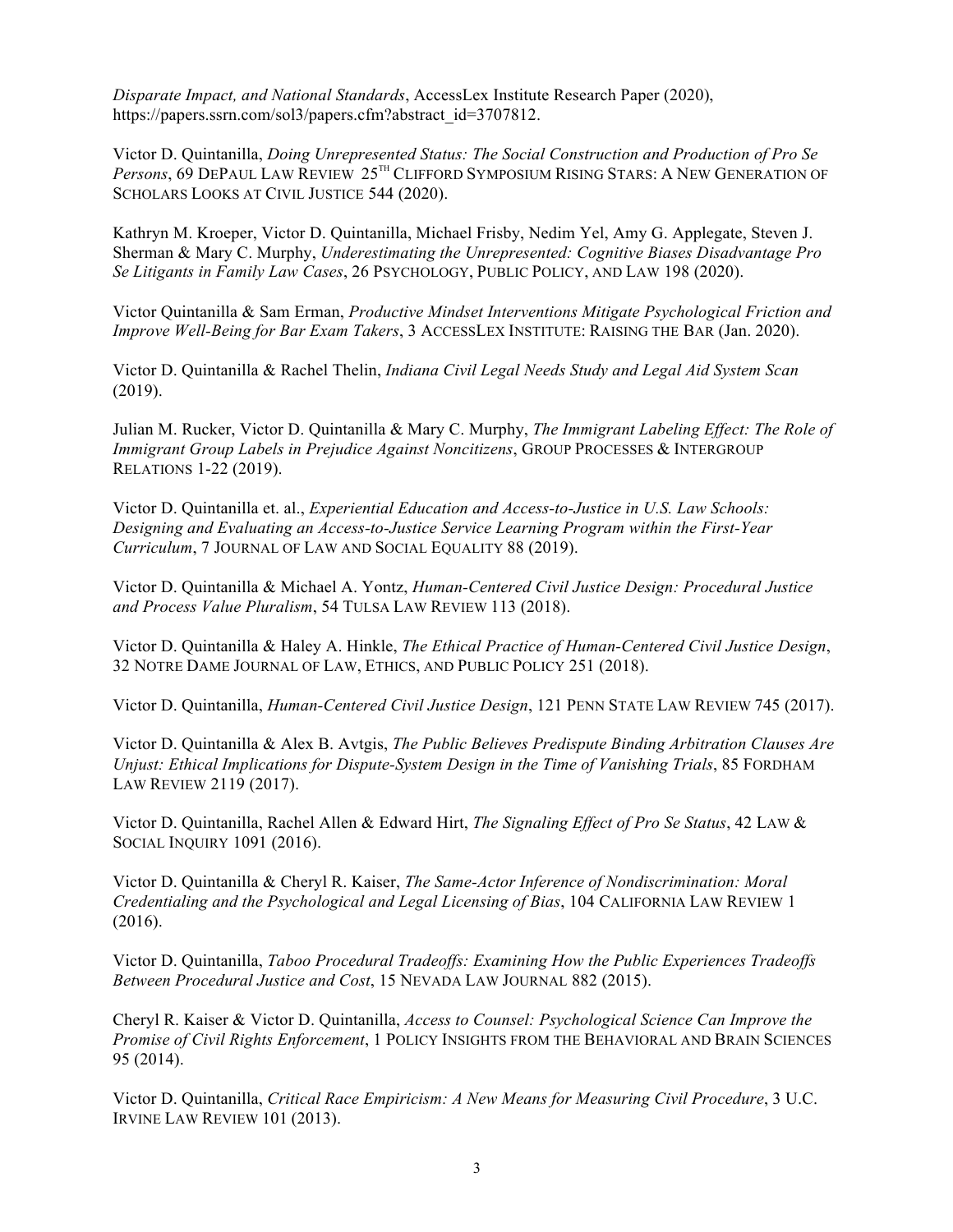*Disparate Impact, and National Standards*, AccessLex Institute Research Paper (2020), https://papers.ssrn.com/sol3/papers.cfm?abstract\_id=3707812.

Victor D. Quintanilla, *Doing Unrepresented Status: The Social Construction and Production of Pro Se*  Persons, 69 DEPAUL LAW REVIEW  $25^{TH}$  CLIFFORD SYMPOSIUM RISING STARS: A NEW GENERATION OF SCHOLARS LOOKS AT CIVIL JUSTICE 544 (2020).

Kathryn M. Kroeper, Victor D. Quintanilla, Michael Frisby, Nedim Yel, Amy G. Applegate, Steven J. Sherman & Mary C. Murphy, *Underestimating the Unrepresented: Cognitive Biases Disadvantage Pro Se Litigants in Family Law Cases*, 26 PSYCHOLOGY, PUBLIC POLICY, AND LAW 198 (2020).

Victor Quintanilla & Sam Erman, *Productive Mindset Interventions Mitigate Psychological Friction and Improve Well-Being for Bar Exam Takers*, 3 ACCESSLEX INSTITUTE: RAISING THE BAR (Jan. 2020).

Victor D. Quintanilla & Rachel Thelin, *Indiana Civil Legal Needs Study and Legal Aid System Scan*  (2019).

Julian M. Rucker, Victor D. Quintanilla & Mary C. Murphy, *The Immigrant Labeling Effect: The Role of Immigrant Group Labels in Prejudice Against Noncitizens*, GROUP PROCESSES & INTERGROUP RELATIONS 1-22 (2019).

Victor D. Quintanilla et. al., *Experiential Education and Access-to-Justice in U.S. Law Schools: Designing and Evaluating an Access-to-Justice Service Learning Program within the First-Year Curriculum*, 7 JOURNAL OF LAW AND SOCIAL EQUALITY 88 (2019).

Victor D. Quintanilla & Michael A. Yontz, *Human-Centered Civil Justice Design: Procedural Justice and Process Value Pluralism*, 54 TULSA LAW REVIEW 113 (2018).

Victor D. Quintanilla & Haley A. Hinkle, *The Ethical Practice of Human-Centered Civil Justice Design*, 32 NOTRE DAME JOURNAL OF LAW, ETHICS, AND PUBLIC POLICY 251 (2018).

Victor D. Quintanilla, *Human-Centered Civil Justice Design*, 121 PENN STATE LAW REVIEW 745 (2017).

Victor D. Quintanilla & Alex B. Avtgis, *The Public Believes Predispute Binding Arbitration Clauses Are Unjust: Ethical Implications for Dispute-System Design in the Time of Vanishing Trials*, 85 FORDHAM LAW REVIEW 2119 (2017).

Victor D. Quintanilla, Rachel Allen & Edward Hirt, *The Signaling Effect of Pro Se Status*, 42 LAW & SOCIAL INQUIRY 1091 (2016).

Victor D. Quintanilla & Cheryl R. Kaiser, *The Same-Actor Inference of Nondiscrimination: Moral Credentialing and the Psychological and Legal Licensing of Bias*, 104 CALIFORNIA LAW REVIEW 1 (2016).

Victor D. Quintanilla, *Taboo Procedural Tradeoffs: Examining How the Public Experiences Tradeoffs Between Procedural Justice and Cost*, 15 NEVADA LAW JOURNAL 882 (2015).

Cheryl R. Kaiser & Victor D. Quintanilla, *Access to Counsel: Psychological Science Can Improve the Promise of Civil Rights Enforcement*, 1 POLICY INSIGHTS FROM THE BEHAVIORAL AND BRAIN SCIENCES 95 (2014).

Victor D. Quintanilla, *Critical Race Empiricism: A New Means for Measuring Civil Procedure*, 3 U.C. IRVINE LAW REVIEW 101 (2013).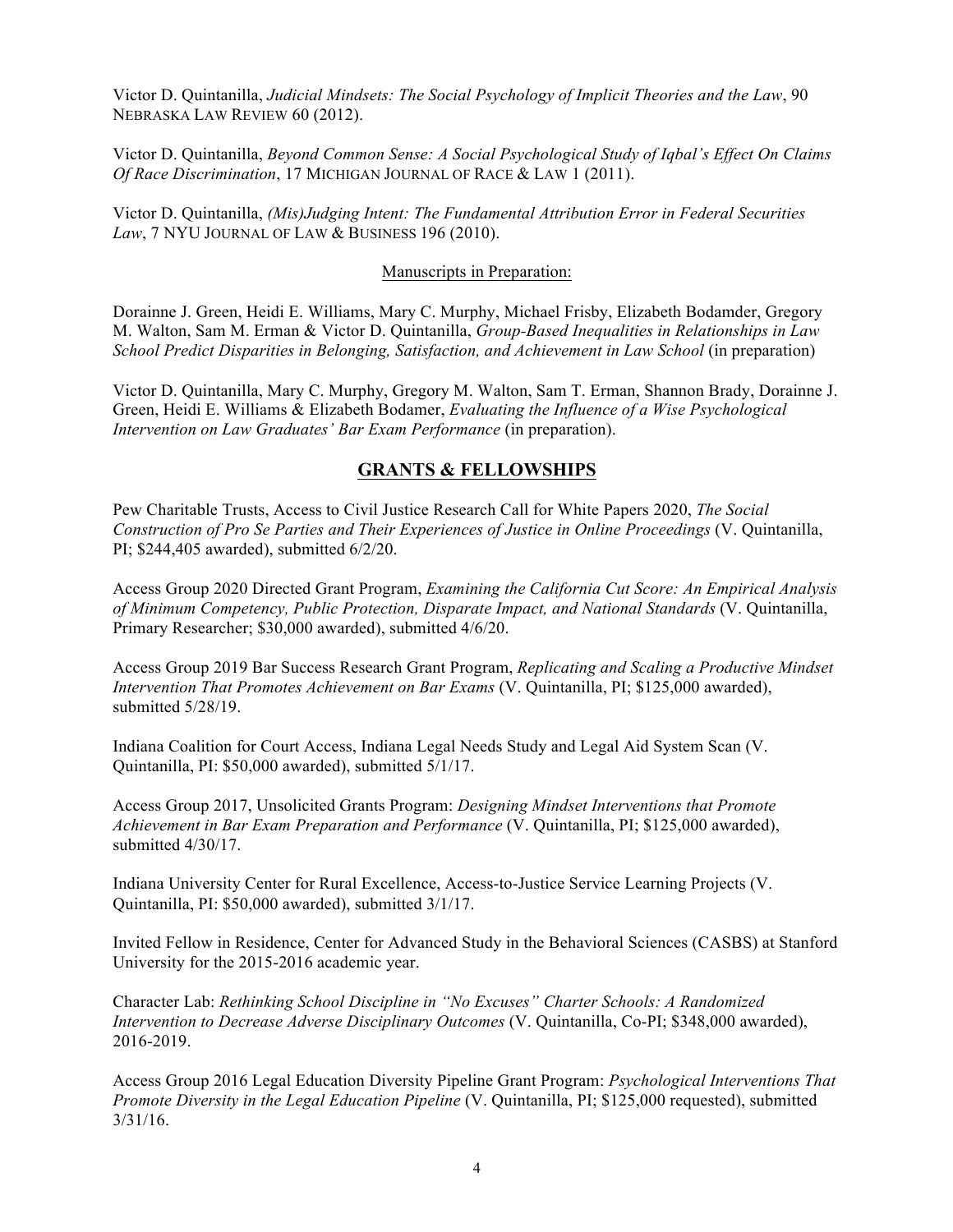Victor D. Quintanilla, *Judicial Mindsets: The Social Psychology of Implicit Theories and the Law*, 90 NEBRASKA LAW REVIEW 60 (2012).

Victor D. Quintanilla, *Beyond Common Sense: A Social Psychological Study of Iqbal's Effect On Claims Of Race Discrimination*, 17 MICHIGAN JOURNAL OF RACE & LAW 1 (2011).

Victor D. Quintanilla, *(Mis)Judging Intent: The Fundamental Attribution Error in Federal Securities Law*, 7 NYU JOURNAL OF LAW & BUSINESS 196 (2010).

#### Manuscripts in Preparation:

Dorainne J. Green, Heidi E. Williams, Mary C. Murphy, Michael Frisby, Elizabeth Bodamder, Gregory M. Walton, Sam M. Erman & Victor D. Quintanilla, *Group-Based Inequalities in Relationships in Law School Predict Disparities in Belonging, Satisfaction, and Achievement in Law School* (in preparation)

Victor D. Quintanilla, Mary C. Murphy, Gregory M. Walton, Sam T. Erman, Shannon Brady, Dorainne J. Green, Heidi E. Williams & Elizabeth Bodamer, *Evaluating the Influence of a Wise Psychological Intervention on Law Graduates' Bar Exam Performance* (in preparation).

### **GRANTS & FELLOWSHIPS**

Pew Charitable Trusts, Access to Civil Justice Research Call for White Papers 2020, *The Social Construction of Pro Se Parties and Their Experiences of Justice in Online Proceedings* (V. Quintanilla, PI; \$244,405 awarded), submitted 6/2/20.

Access Group 2020 Directed Grant Program, *Examining the California Cut Score: An Empirical Analysis of Minimum Competency, Public Protection, Disparate Impact, and National Standards* (V. Quintanilla, Primary Researcher; \$30,000 awarded), submitted 4/6/20.

Access Group 2019 Bar Success Research Grant Program, *Replicating and Scaling a Productive Mindset Intervention That Promotes Achievement on Bar Exams* (V. Quintanilla, PI; \$125,000 awarded), submitted 5/28/19.

Indiana Coalition for Court Access, Indiana Legal Needs Study and Legal Aid System Scan (V. Quintanilla, PI: \$50,000 awarded), submitted 5/1/17.

Access Group 2017, Unsolicited Grants Program: *Designing Mindset Interventions that Promote Achievement in Bar Exam Preparation and Performance* (V. Quintanilla, PI; \$125,000 awarded), submitted 4/30/17.

Indiana University Center for Rural Excellence, Access-to-Justice Service Learning Projects (V. Quintanilla, PI: \$50,000 awarded), submitted 3/1/17.

Invited Fellow in Residence, Center for Advanced Study in the Behavioral Sciences (CASBS) at Stanford University for the 2015-2016 academic year.

Character Lab: *Rethinking School Discipline in "No Excuses" Charter Schools: A Randomized Intervention to Decrease Adverse Disciplinary Outcomes* (V. Quintanilla, Co-PI; \$348,000 awarded), 2016-2019.

Access Group 2016 Legal Education Diversity Pipeline Grant Program: *Psychological Interventions That Promote Diversity in the Legal Education Pipeline* (V. Quintanilla, PI; \$125,000 requested), submitted 3/31/16.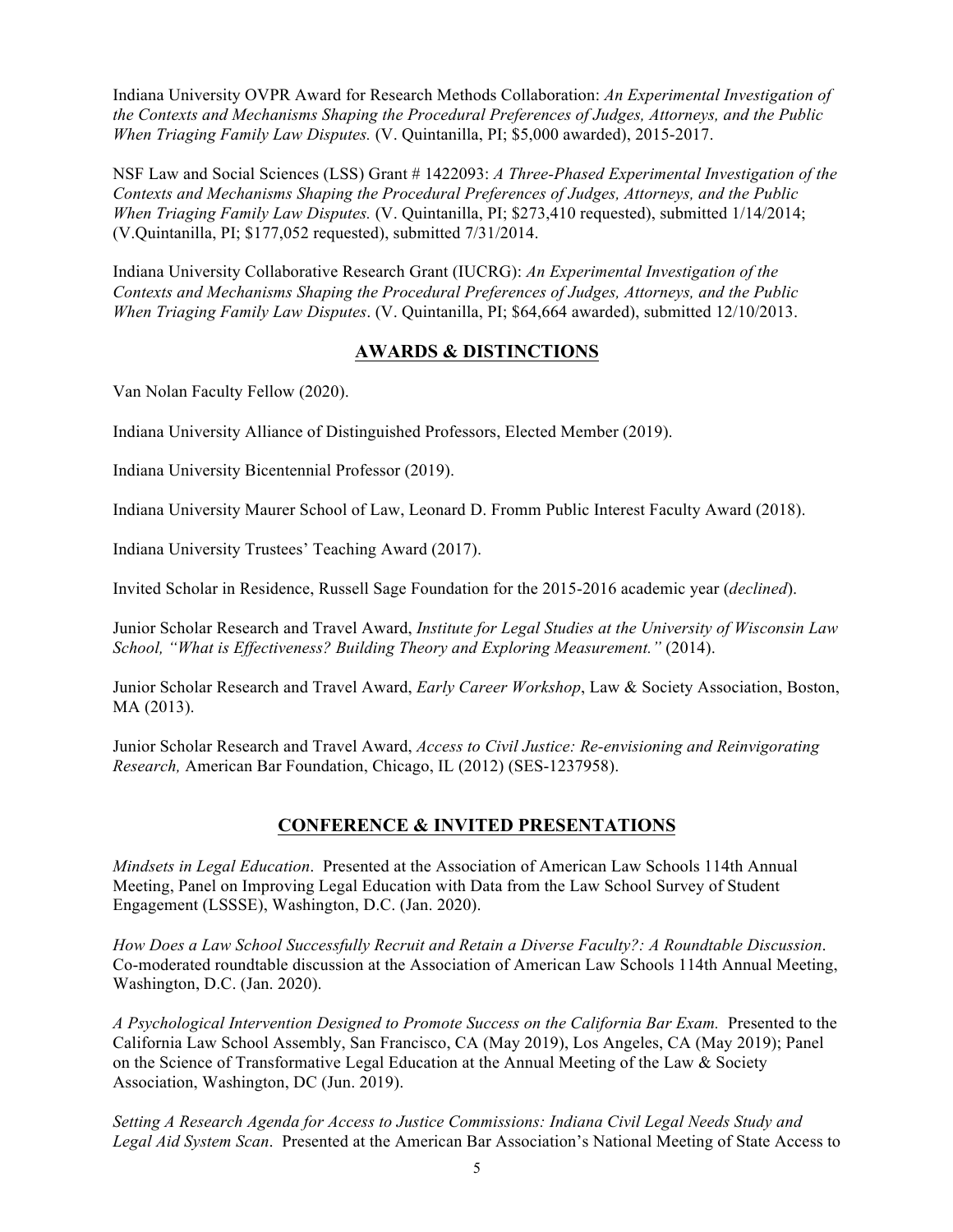Indiana University OVPR Award for Research Methods Collaboration: *An Experimental Investigation of the Contexts and Mechanisms Shaping the Procedural Preferences of Judges, Attorneys, and the Public When Triaging Family Law Disputes.* (V. Quintanilla, PI; \$5,000 awarded), 2015-2017.

NSF Law and Social Sciences (LSS) Grant # 1422093: *A Three-Phased Experimental Investigation of the Contexts and Mechanisms Shaping the Procedural Preferences of Judges, Attorneys, and the Public When Triaging Family Law Disputes.* (V. Quintanilla, PI; \$273,410 requested), submitted 1/14/2014; (V.Quintanilla, PI; \$177,052 requested), submitted 7/31/2014.

Indiana University Collaborative Research Grant (IUCRG): *An Experimental Investigation of the Contexts and Mechanisms Shaping the Procedural Preferences of Judges, Attorneys, and the Public When Triaging Family Law Disputes*. (V. Quintanilla, PI; \$64,664 awarded), submitted 12/10/2013.

## **AWARDS & DISTINCTIONS**

Van Nolan Faculty Fellow (2020).

Indiana University Alliance of Distinguished Professors, Elected Member (2019).

Indiana University Bicentennial Professor (2019).

Indiana University Maurer School of Law, Leonard D. Fromm Public Interest Faculty Award (2018).

Indiana University Trustees' Teaching Award (2017).

Invited Scholar in Residence, Russell Sage Foundation for the 2015-2016 academic year (*declined*).

Junior Scholar Research and Travel Award, *Institute for Legal Studies at the University of Wisconsin Law School, "What is Effectiveness? Building Theory and Exploring Measurement."* (2014).

Junior Scholar Research and Travel Award, *Early Career Workshop*, Law & Society Association, Boston, MA (2013).

Junior Scholar Research and Travel Award, *Access to Civil Justice: Re-envisioning and Reinvigorating Research,* American Bar Foundation, Chicago, IL (2012) (SES-1237958).

## **CONFERENCE & INVITED PRESENTATIONS**

*Mindsets in Legal Education*. Presented at the Association of American Law Schools 114th Annual Meeting, Panel on Improving Legal Education with Data from the Law School Survey of Student Engagement (LSSSE), Washington, D.C. (Jan. 2020).

*How Does a Law School Successfully Recruit and Retain a Diverse Faculty?: A Roundtable Discussion*. Co-moderated roundtable discussion at the Association of American Law Schools 114th Annual Meeting, Washington, D.C. (Jan. 2020).

*A Psychological Intervention Designed to Promote Success on the California Bar Exam.* Presented to the California Law School Assembly, San Francisco, CA (May 2019), Los Angeles, CA (May 2019); Panel on the Science of Transformative Legal Education at the Annual Meeting of the Law & Society Association, Washington, DC (Jun. 2019).

*Setting A Research Agenda for Access to Justice Commissions: Indiana Civil Legal Needs Study and Legal Aid System Scan*. Presented at the American Bar Association's National Meeting of State Access to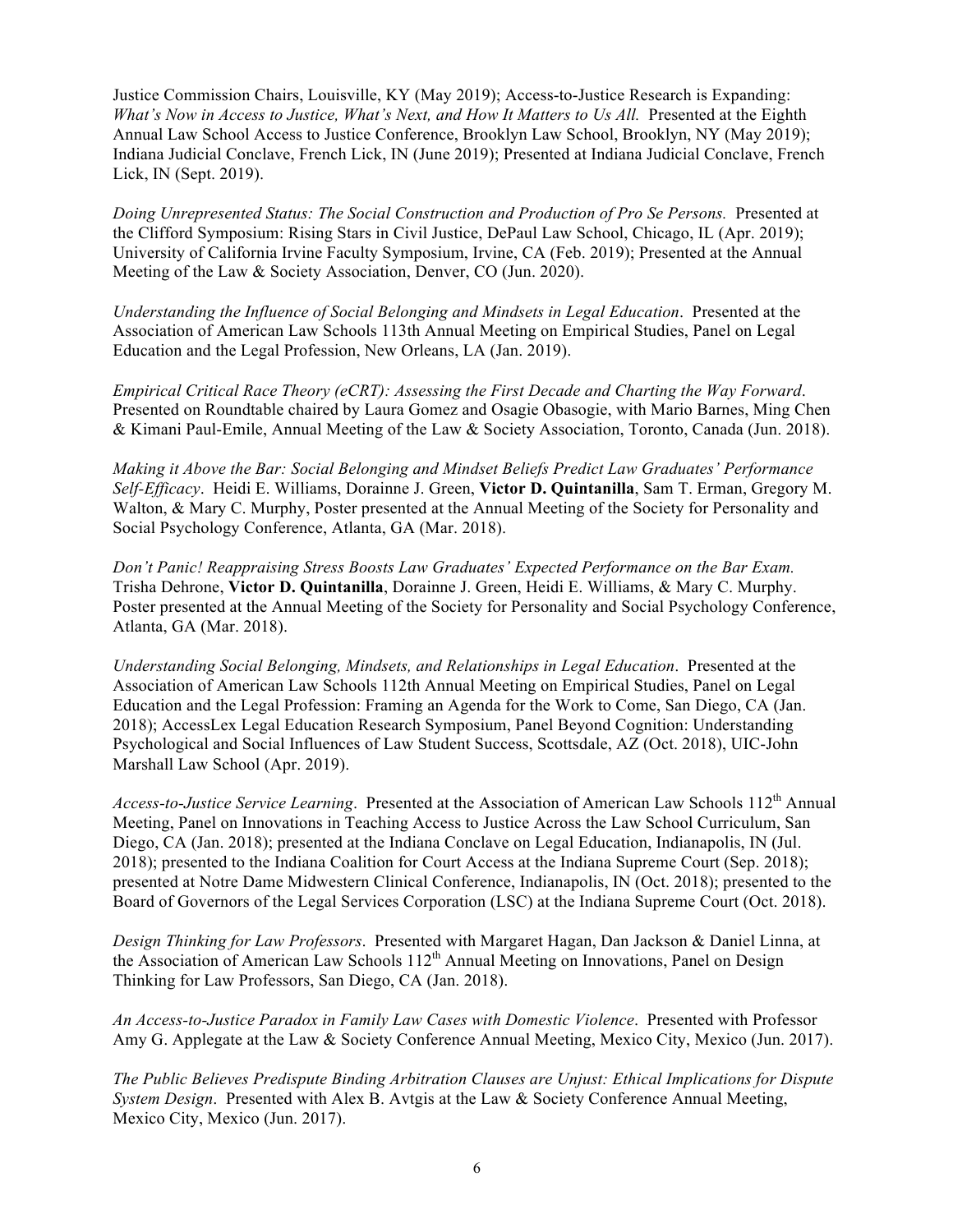Justice Commission Chairs, Louisville, KY (May 2019); Access-to-Justice Research is Expanding: *What's Now in Access to Justice, What's Next, and How It Matters to Us All.* Presented at the Eighth Annual Law School Access to Justice Conference, Brooklyn Law School, Brooklyn, NY (May 2019); Indiana Judicial Conclave, French Lick, IN (June 2019); Presented at Indiana Judicial Conclave, French Lick, IN (Sept. 2019).

*Doing Unrepresented Status: The Social Construction and Production of Pro Se Persons.* Presented at the Clifford Symposium: Rising Stars in Civil Justice, DePaul Law School, Chicago, IL (Apr. 2019); University of California Irvine Faculty Symposium, Irvine, CA (Feb. 2019); Presented at the Annual Meeting of the Law & Society Association, Denver, CO (Jun. 2020).

*Understanding the Influence of Social Belonging and Mindsets in Legal Education*. Presented at the Association of American Law Schools 113th Annual Meeting on Empirical Studies, Panel on Legal Education and the Legal Profession, New Orleans, LA (Jan. 2019).

*Empirical Critical Race Theory (eCRT): Assessing the First Decade and Charting the Way Forward*. Presented on Roundtable chaired by Laura Gomez and Osagie Obasogie, with Mario Barnes, Ming Chen & Kimani Paul-Emile, Annual Meeting of the Law & Society Association, Toronto, Canada (Jun. 2018).

*Making it Above the Bar: Social Belonging and Mindset Beliefs Predict Law Graduates' Performance Self-Efficacy*. Heidi E. Williams, Dorainne J. Green, **Victor D. Quintanilla**, Sam T. Erman, Gregory M. Walton, & Mary C. Murphy, Poster presented at the Annual Meeting of the Society for Personality and Social Psychology Conference, Atlanta, GA (Mar. 2018).

*Don't Panic! Reappraising Stress Boosts Law Graduates' Expected Performance on the Bar Exam.*  Trisha Dehrone, **Victor D. Quintanilla**, Dorainne J. Green, Heidi E. Williams, & Mary C. Murphy. Poster presented at the Annual Meeting of the Society for Personality and Social Psychology Conference, Atlanta, GA (Mar. 2018).

*Understanding Social Belonging, Mindsets, and Relationships in Legal Education*. Presented at the Association of American Law Schools 112th Annual Meeting on Empirical Studies, Panel on Legal Education and the Legal Profession: Framing an Agenda for the Work to Come, San Diego, CA (Jan. 2018); AccessLex Legal Education Research Symposium, Panel Beyond Cognition: Understanding Psychological and Social Influences of Law Student Success, Scottsdale, AZ (Oct. 2018), UIC-John Marshall Law School (Apr. 2019).

*Access-to-Justice Service Learning.* Presented at the Association of American Law Schools 112<sup>th</sup> Annual Meeting, Panel on Innovations in Teaching Access to Justice Across the Law School Curriculum, San Diego, CA (Jan. 2018); presented at the Indiana Conclave on Legal Education, Indianapolis, IN (Jul. 2018); presented to the Indiana Coalition for Court Access at the Indiana Supreme Court (Sep. 2018); presented at Notre Dame Midwestern Clinical Conference, Indianapolis, IN (Oct. 2018); presented to the Board of Governors of the Legal Services Corporation (LSC) at the Indiana Supreme Court (Oct. 2018).

*Design Thinking for Law Professors*. Presented with Margaret Hagan, Dan Jackson & Daniel Linna, at the Association of American Law Schools 112<sup>th</sup> Annual Meeting on Innovations, Panel on Design Thinking for Law Professors, San Diego, CA (Jan. 2018).

*An Access-to-Justice Paradox in Family Law Cases with Domestic Violence*. Presented with Professor Amy G. Applegate at the Law & Society Conference Annual Meeting, Mexico City, Mexico (Jun. 2017).

*The Public Believes Predispute Binding Arbitration Clauses are Unjust: Ethical Implications for Dispute System Design*. Presented with Alex B. Avtgis at the Law & Society Conference Annual Meeting, Mexico City, Mexico (Jun. 2017).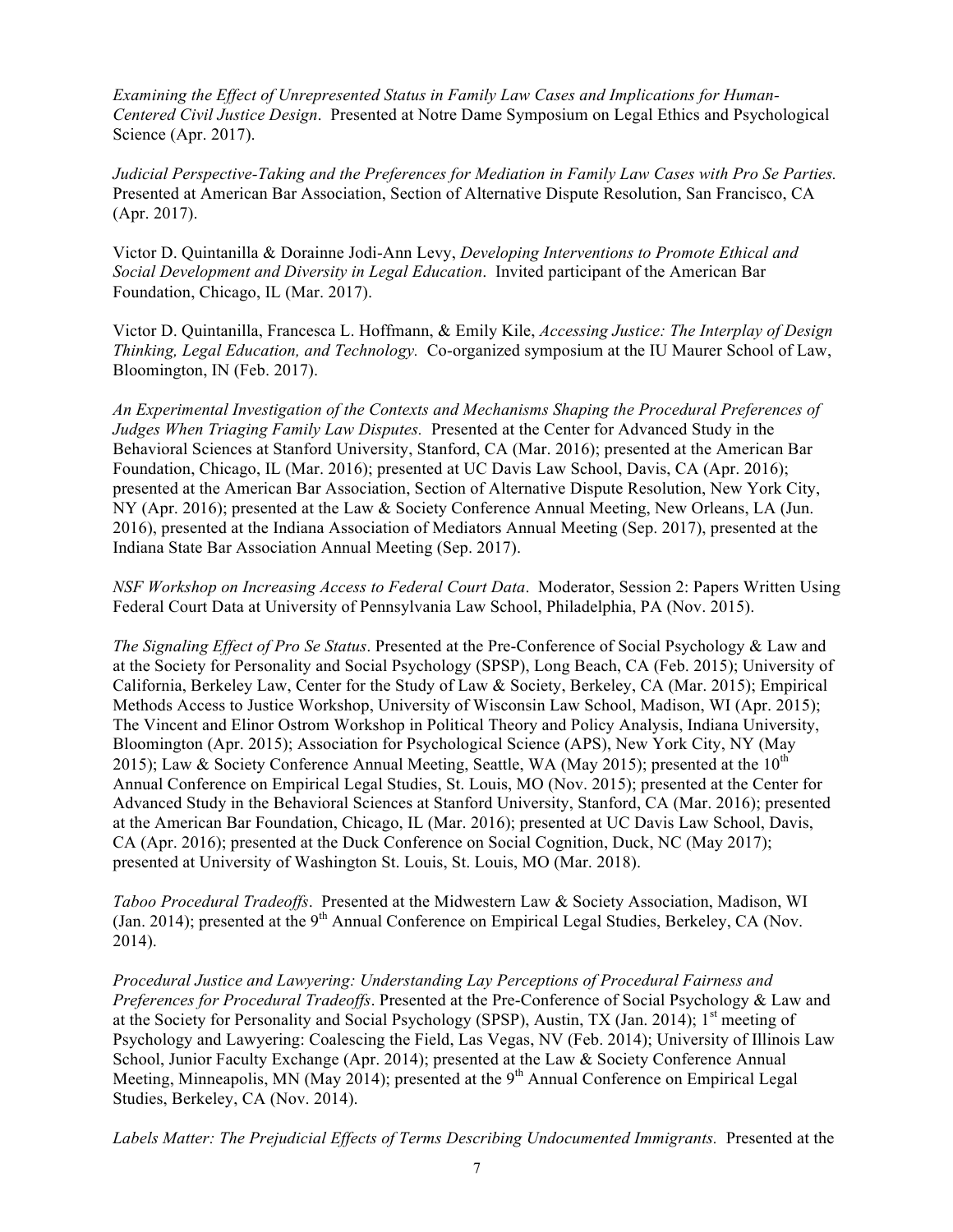*Examining the Effect of Unrepresented Status in Family Law Cases and Implications for Human-Centered Civil Justice Design*. Presented at Notre Dame Symposium on Legal Ethics and Psychological Science (Apr. 2017).

*Judicial Perspective-Taking and the Preferences for Mediation in Family Law Cases with Pro Se Parties.*  Presented at American Bar Association, Section of Alternative Dispute Resolution, San Francisco, CA (Apr. 2017).

Victor D. Quintanilla & Dorainne Jodi-Ann Levy, *Developing Interventions to Promote Ethical and Social Development and Diversity in Legal Education*. Invited participant of the American Bar Foundation, Chicago, IL (Mar. 2017).

Victor D. Quintanilla, Francesca L. Hoffmann, & Emily Kile, *Accessing Justice: The Interplay of Design Thinking, Legal Education, and Technology.* Co-organized symposium at the IU Maurer School of Law, Bloomington, IN (Feb. 2017).

*An Experimental Investigation of the Contexts and Mechanisms Shaping the Procedural Preferences of Judges When Triaging Family Law Disputes.* Presented at the Center for Advanced Study in the Behavioral Sciences at Stanford University, Stanford, CA (Mar. 2016); presented at the American Bar Foundation, Chicago, IL (Mar. 2016); presented at UC Davis Law School, Davis, CA (Apr. 2016); presented at the American Bar Association, Section of Alternative Dispute Resolution, New York City, NY (Apr. 2016); presented at the Law & Society Conference Annual Meeting, New Orleans, LA (Jun. 2016), presented at the Indiana Association of Mediators Annual Meeting (Sep. 2017), presented at the Indiana State Bar Association Annual Meeting (Sep. 2017).

*NSF Workshop on Increasing Access to Federal Court Data*. Moderator, Session 2: Papers Written Using Federal Court Data at University of Pennsylvania Law School, Philadelphia, PA (Nov. 2015).

*The Signaling Effect of Pro Se Status*. Presented at the Pre-Conference of Social Psychology & Law and at the Society for Personality and Social Psychology (SPSP), Long Beach, CA (Feb. 2015); University of California, Berkeley Law, Center for the Study of Law & Society, Berkeley, CA (Mar. 2015); Empirical Methods Access to Justice Workshop, University of Wisconsin Law School, Madison, WI (Apr. 2015); The Vincent and Elinor Ostrom Workshop in Political Theory and Policy Analysis, Indiana University, Bloomington (Apr. 2015); Association for Psychological Science (APS), New York City, NY (May 2015); Law & Society Conference Annual Meeting, Seattle, WA (May 2015); presented at the  $10^{th}$ Annual Conference on Empirical Legal Studies, St. Louis, MO (Nov. 2015); presented at the Center for Advanced Study in the Behavioral Sciences at Stanford University, Stanford, CA (Mar. 2016); presented at the American Bar Foundation, Chicago, IL (Mar. 2016); presented at UC Davis Law School, Davis, CA (Apr. 2016); presented at the Duck Conference on Social Cognition, Duck, NC (May 2017); presented at University of Washington St. Louis, St. Louis, MO (Mar. 2018).

*Taboo Procedural Tradeoffs*. Presented at the Midwestern Law & Society Association, Madison, WI (Jan. 2014); presented at the  $9<sup>th</sup>$  Annual Conference on Empirical Legal Studies, Berkeley, CA (Nov. 2014).

*Procedural Justice and Lawyering: Understanding Lay Perceptions of Procedural Fairness and Preferences for Procedural Tradeoffs*. Presented at the Pre-Conference of Social Psychology & Law and at the Society for Personality and Social Psychology (SPSP), Austin, TX (Jan. 2014); 1<sup>st</sup> meeting of Psychology and Lawyering: Coalescing the Field, Las Vegas, NV (Feb. 2014); University of Illinois Law School, Junior Faculty Exchange (Apr. 2014); presented at the Law & Society Conference Annual Meeting, Minneapolis, MN (May 2014); presented at the 9<sup>th</sup> Annual Conference on Empirical Legal Studies, Berkeley, CA (Nov. 2014).

*Labels Matter: The Prejudicial Effects of Terms Describing Undocumented Immigrants.* Presented at the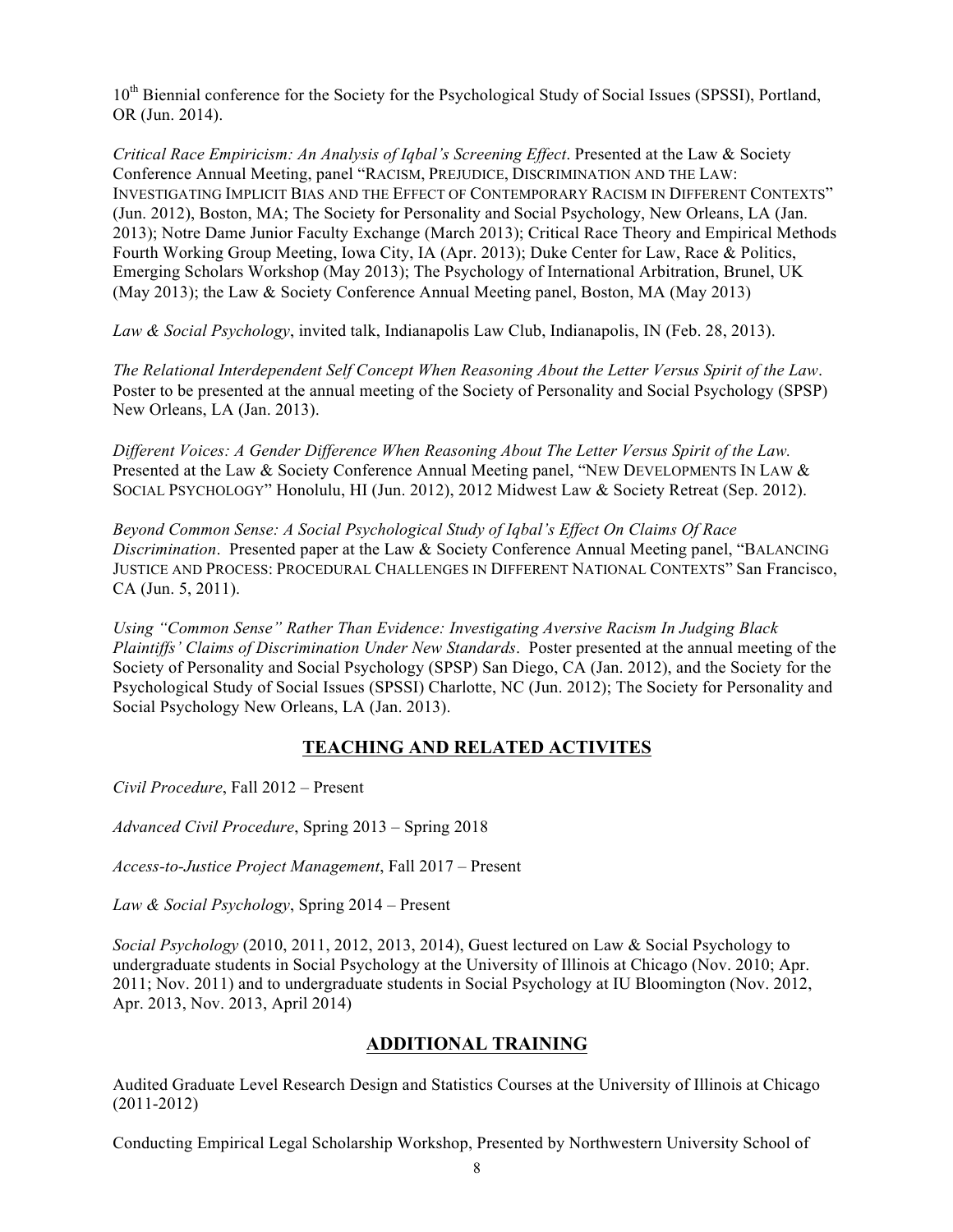10<sup>th</sup> Biennial conference for the Society for the Psychological Study of Social Issues (SPSSI), Portland, OR (Jun. 2014).

*Critical Race Empiricism: An Analysis of Iqbal's Screening Effect*. Presented at the Law & Society Conference Annual Meeting, panel "RACISM, PREJUDICE, DISCRIMINATION AND THE LAW: INVESTIGATING IMPLICIT BIAS AND THE EFFECT OF CONTEMPORARY RACISM IN DIFFERENT CONTEXTS" (Jun. 2012), Boston, MA; The Society for Personality and Social Psychology, New Orleans, LA (Jan. 2013); Notre Dame Junior Faculty Exchange (March 2013); Critical Race Theory and Empirical Methods Fourth Working Group Meeting, Iowa City, IA (Apr. 2013); Duke Center for Law, Race & Politics, Emerging Scholars Workshop (May 2013); The Psychology of International Arbitration, Brunel, UK (May 2013); the Law & Society Conference Annual Meeting panel, Boston, MA (May 2013)

*Law & Social Psychology*, invited talk, Indianapolis Law Club, Indianapolis, IN (Feb. 28, 2013).

*The Relational Interdependent Self Concept When Reasoning About the Letter Versus Spirit of the Law*. Poster to be presented at the annual meeting of the Society of Personality and Social Psychology (SPSP) New Orleans, LA (Jan. 2013).

*Different Voices: A Gender Difference When Reasoning About The Letter Versus Spirit of the Law.*  Presented at the Law & Society Conference Annual Meeting panel, "NEW DEVELOPMENTS IN LAW & SOCIAL PSYCHOLOGY" Honolulu, HI (Jun. 2012), 2012 Midwest Law & Society Retreat (Sep. 2012).

*Beyond Common Sense: A Social Psychological Study of Iqbal's Effect On Claims Of Race Discrimination*. Presented paper at the Law & Society Conference Annual Meeting panel, "BALANCING JUSTICE AND PROCESS: PROCEDURAL CHALLENGES IN DIFFERENT NATIONAL CONTEXTS" San Francisco, CA (Jun. 5, 2011).

*Using "Common Sense" Rather Than Evidence: Investigating Aversive Racism In Judging Black Plaintiffs' Claims of Discrimination Under New Standards*. Poster presented at the annual meeting of the Society of Personality and Social Psychology (SPSP) San Diego, CA (Jan. 2012), and the Society for the Psychological Study of Social Issues (SPSSI) Charlotte, NC (Jun. 2012); The Society for Personality and Social Psychology New Orleans, LA (Jan. 2013).

# **TEACHING AND RELATED ACTIVITES**

*Civil Procedure*, Fall 2012 – Present

*Advanced Civil Procedure*, Spring 2013 – Spring 2018

*Access-to-Justice Project Management*, Fall 2017 – Present

*Law & Social Psychology*, Spring 2014 – Present

*Social Psychology* (2010, 2011, 2012, 2013, 2014), Guest lectured on Law & Social Psychology to undergraduate students in Social Psychology at the University of Illinois at Chicago (Nov. 2010; Apr. 2011; Nov. 2011) and to undergraduate students in Social Psychology at IU Bloomington (Nov. 2012, Apr. 2013, Nov. 2013, April 2014)

# **ADDITIONAL TRAINING**

Audited Graduate Level Research Design and Statistics Courses at the University of Illinois at Chicago (2011-2012)

Conducting Empirical Legal Scholarship Workshop, Presented by Northwestern University School of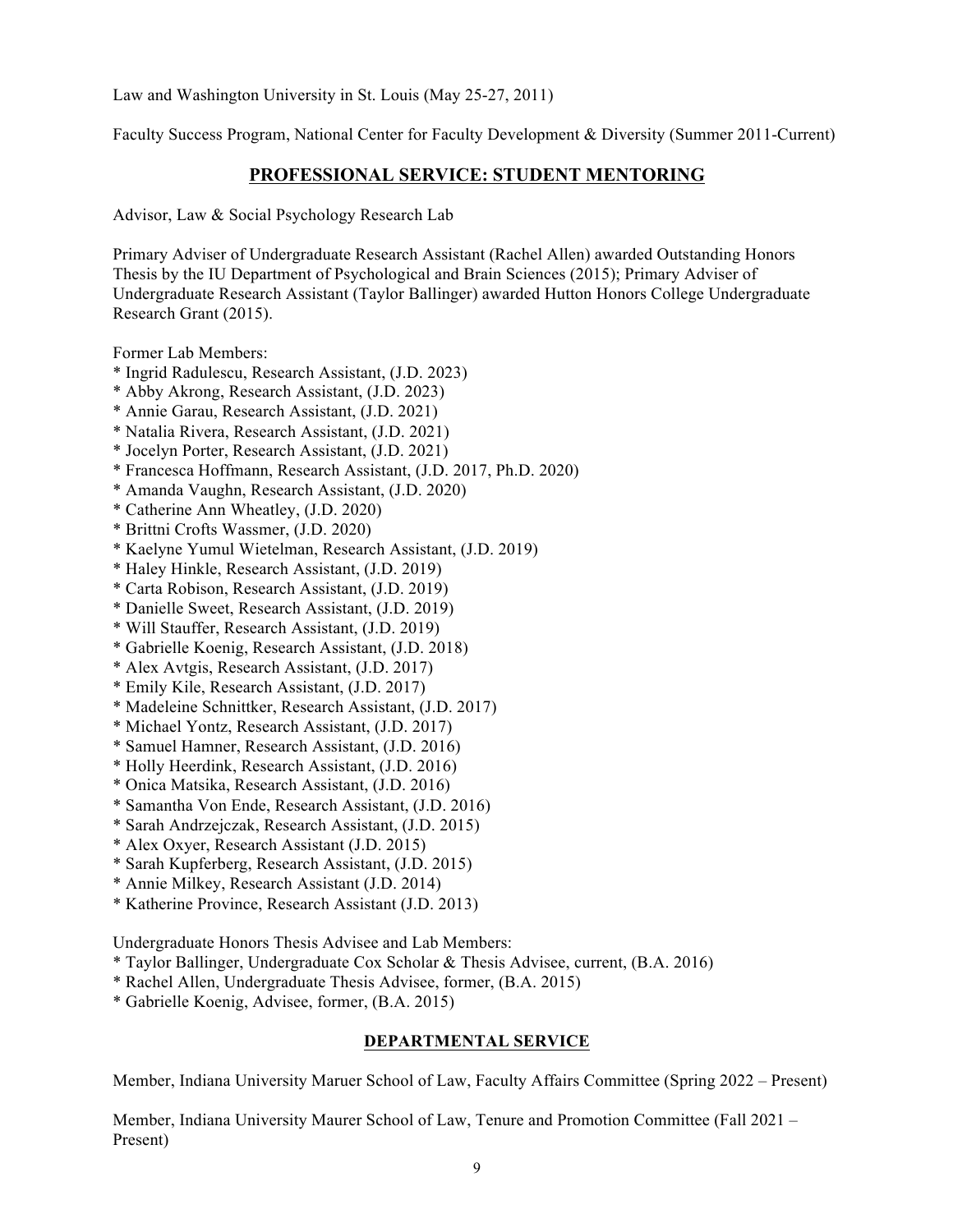Law and Washington University in St. Louis (May 25-27, 2011)

Faculty Success Program, National Center for Faculty Development & Diversity (Summer 2011-Current)

### **PROFESSIONAL SERVICE: STUDENT MENTORING**

Advisor, Law & Social Psychology Research Lab

Primary Adviser of Undergraduate Research Assistant (Rachel Allen) awarded Outstanding Honors Thesis by the IU Department of Psychological and Brain Sciences (2015); Primary Adviser of Undergraduate Research Assistant (Taylor Ballinger) awarded Hutton Honors College Undergraduate Research Grant (2015).

Former Lab Members:

- \* Ingrid Radulescu, Research Assistant, (J.D. 2023)
- \* Abby Akrong, Research Assistant, (J.D. 2023)
- \* Annie Garau, Research Assistant, (J.D. 2021)
- \* Natalia Rivera, Research Assistant, (J.D. 2021)
- \* Jocelyn Porter, Research Assistant, (J.D. 2021)
- \* Francesca Hoffmann, Research Assistant, (J.D. 2017, Ph.D. 2020)
- \* Amanda Vaughn, Research Assistant, (J.D. 2020)
- \* Catherine Ann Wheatley, (J.D. 2020)
- \* Brittni Crofts Wassmer, (J.D. 2020)
- \* Kaelyne Yumul Wietelman, Research Assistant, (J.D. 2019)
- \* Haley Hinkle, Research Assistant, (J.D. 2019)
- \* Carta Robison, Research Assistant, (J.D. 2019)
- \* Danielle Sweet, Research Assistant, (J.D. 2019)
- \* Will Stauffer, Research Assistant, (J.D. 2019)
- \* Gabrielle Koenig, Research Assistant, (J.D. 2018)
- \* Alex Avtgis, Research Assistant, (J.D. 2017)
- \* Emily Kile, Research Assistant, (J.D. 2017)
- \* Madeleine Schnittker, Research Assistant, (J.D. 2017)
- \* Michael Yontz, Research Assistant, (J.D. 2017)
- \* Samuel Hamner, Research Assistant, (J.D. 2016)
- \* Holly Heerdink, Research Assistant, (J.D. 2016)
- \* Onica Matsika, Research Assistant, (J.D. 2016)
- \* Samantha Von Ende, Research Assistant, (J.D. 2016)
- \* Sarah Andrzejczak, Research Assistant, (J.D. 2015)
- \* Alex Oxyer, Research Assistant (J.D. 2015)
- \* Sarah Kupferberg, Research Assistant, (J.D. 2015)
- \* Annie Milkey, Research Assistant (J.D. 2014)
- \* Katherine Province, Research Assistant (J.D. 2013)

Undergraduate Honors Thesis Advisee and Lab Members:

- \* Taylor Ballinger, Undergraduate Cox Scholar & Thesis Advisee, current, (B.A. 2016)
- \* Rachel Allen, Undergraduate Thesis Advisee, former, (B.A. 2015)
- \* Gabrielle Koenig, Advisee, former, (B.A. 2015)

### **DEPARTMENTAL SERVICE**

Member, Indiana University Maruer School of Law, Faculty Affairs Committee (Spring 2022 – Present)

Member, Indiana University Maurer School of Law, Tenure and Promotion Committee (Fall 2021 – Present)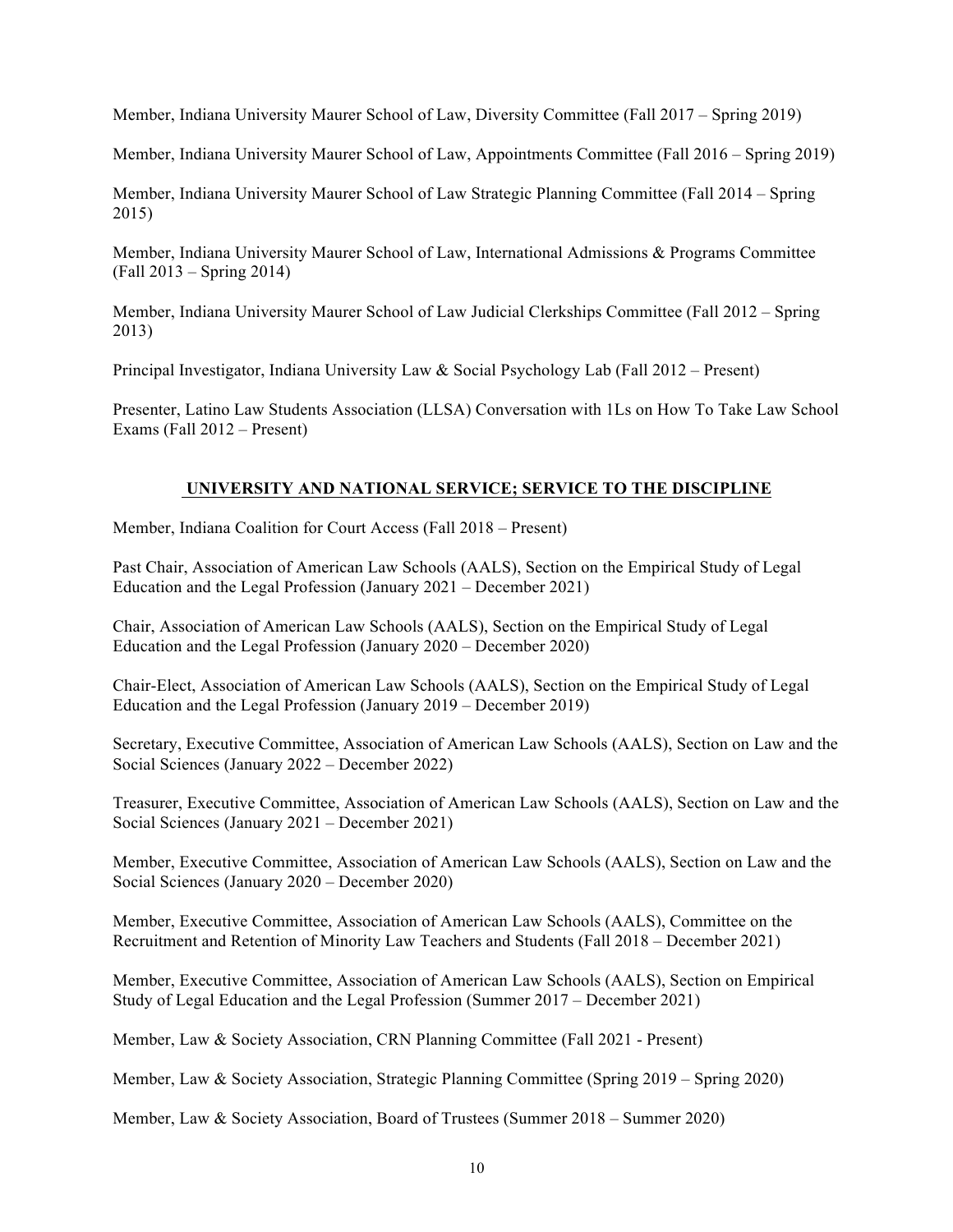Member, Indiana University Maurer School of Law, Diversity Committee (Fall 2017 – Spring 2019)

Member, Indiana University Maurer School of Law, Appointments Committee (Fall 2016 – Spring 2019)

Member, Indiana University Maurer School of Law Strategic Planning Committee (Fall 2014 – Spring 2015)

Member, Indiana University Maurer School of Law, International Admissions & Programs Committee (Fall 2013 – Spring 2014)

Member, Indiana University Maurer School of Law Judicial Clerkships Committee (Fall 2012 – Spring 2013)

Principal Investigator, Indiana University Law & Social Psychology Lab (Fall 2012 – Present)

Presenter, Latino Law Students Association (LLSA) Conversation with 1Ls on How To Take Law School Exams (Fall 2012 – Present)

## **UNIVERSITY AND NATIONAL SERVICE; SERVICE TO THE DISCIPLINE**

Member, Indiana Coalition for Court Access (Fall 2018 – Present)

Past Chair, Association of American Law Schools (AALS), Section on the Empirical Study of Legal Education and the Legal Profession (January 2021 – December 2021)

Chair, Association of American Law Schools (AALS), Section on the Empirical Study of Legal Education and the Legal Profession (January 2020 – December 2020)

Chair-Elect, Association of American Law Schools (AALS), Section on the Empirical Study of Legal Education and the Legal Profession (January 2019 – December 2019)

Secretary, Executive Committee, Association of American Law Schools (AALS), Section on Law and the Social Sciences (January 2022 – December 2022)

Treasurer, Executive Committee, Association of American Law Schools (AALS), Section on Law and the Social Sciences (January 2021 – December 2021)

Member, Executive Committee, Association of American Law Schools (AALS), Section on Law and the Social Sciences (January 2020 – December 2020)

Member, Executive Committee, Association of American Law Schools (AALS), Committee on the Recruitment and Retention of Minority Law Teachers and Students (Fall 2018 – December 2021)

Member, Executive Committee, Association of American Law Schools (AALS), Section on Empirical Study of Legal Education and the Legal Profession (Summer 2017 – December 2021)

Member, Law & Society Association, CRN Planning Committee (Fall 2021 - Present)

Member, Law & Society Association, Strategic Planning Committee (Spring 2019 – Spring 2020)

Member, Law & Society Association, Board of Trustees (Summer 2018 – Summer 2020)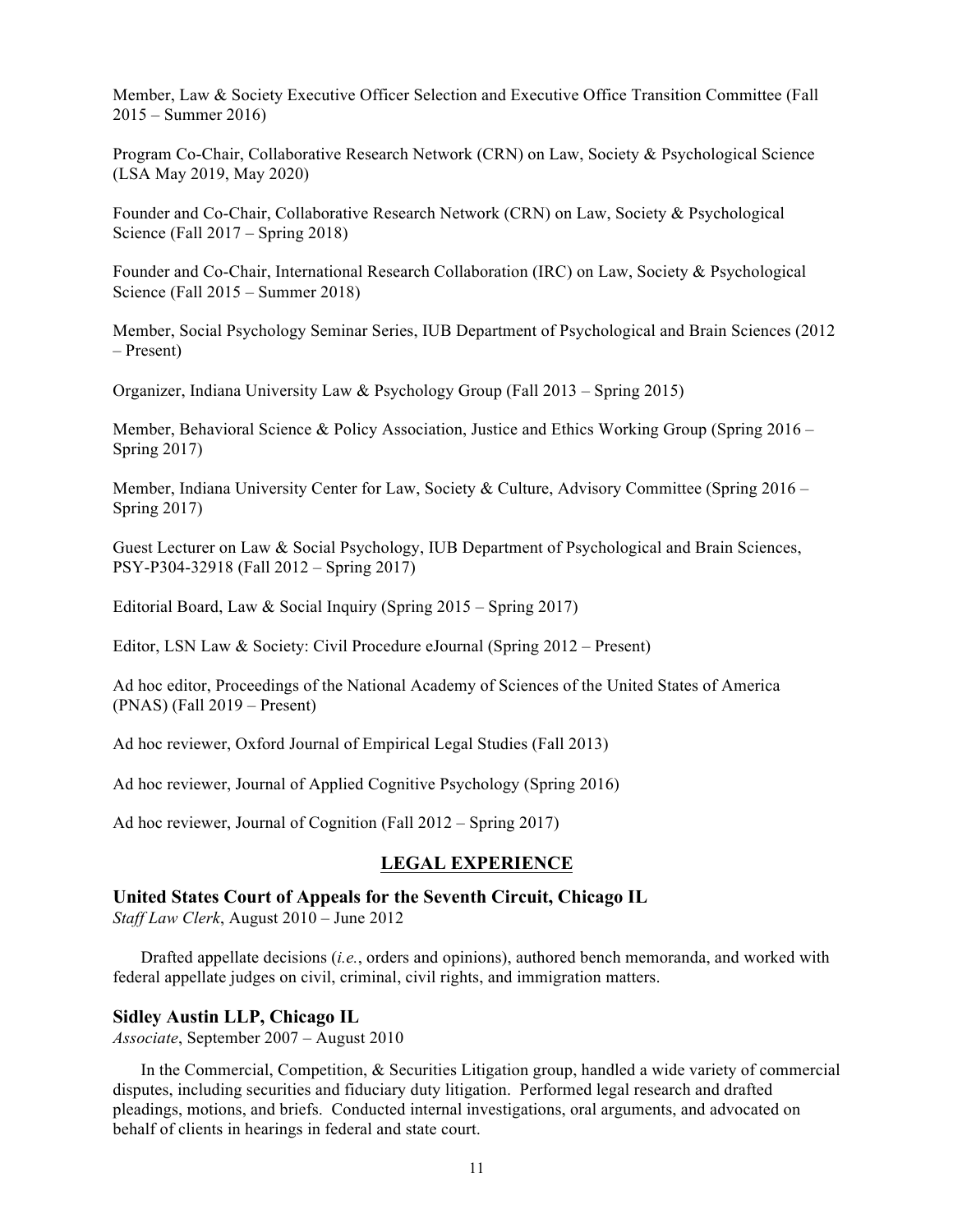Member, Law & Society Executive Officer Selection and Executive Office Transition Committee (Fall 2015 – Summer 2016)

Program Co-Chair, Collaborative Research Network (CRN) on Law, Society & Psychological Science (LSA May 2019, May 2020)

Founder and Co-Chair, Collaborative Research Network (CRN) on Law, Society & Psychological Science (Fall 2017 – Spring 2018)

Founder and Co-Chair, International Research Collaboration (IRC) on Law, Society & Psychological Science (Fall 2015 – Summer 2018)

Member, Social Psychology Seminar Series, IUB Department of Psychological and Brain Sciences (2012 – Present)

Organizer, Indiana University Law & Psychology Group (Fall 2013 – Spring 2015)

Member, Behavioral Science & Policy Association, Justice and Ethics Working Group (Spring 2016 – Spring 2017)

Member, Indiana University Center for Law, Society & Culture, Advisory Committee (Spring 2016 – Spring 2017)

Guest Lecturer on Law & Social Psychology, IUB Department of Psychological and Brain Sciences, PSY-P304-32918 (Fall 2012 – Spring 2017)

Editorial Board, Law & Social Inquiry (Spring 2015 – Spring 2017)

Editor, LSN Law & Society: Civil Procedure eJournal (Spring 2012 – Present)

Ad hoc editor, Proceedings of the National Academy of Sciences of the United States of America (PNAS) (Fall 2019 – Present)

Ad hoc reviewer, Oxford Journal of Empirical Legal Studies (Fall 2013)

Ad hoc reviewer, Journal of Applied Cognitive Psychology (Spring 2016)

Ad hoc reviewer, Journal of Cognition (Fall 2012 – Spring 2017)

### **LEGAL EXPERIENCE**

### **United States Court of Appeals for the Seventh Circuit, Chicago IL**

*Staff Law Clerk*, August 2010 – June 2012

Drafted appellate decisions (*i.e.*, orders and opinions), authored bench memoranda, and worked with federal appellate judges on civil, criminal, civil rights, and immigration matters.

#### **Sidley Austin LLP, Chicago IL**

*Associate*, September 2007 – August 2010

In the Commercial, Competition, & Securities Litigation group, handled a wide variety of commercial disputes, including securities and fiduciary duty litigation. Performed legal research and drafted pleadings, motions, and briefs. Conducted internal investigations, oral arguments, and advocated on behalf of clients in hearings in federal and state court.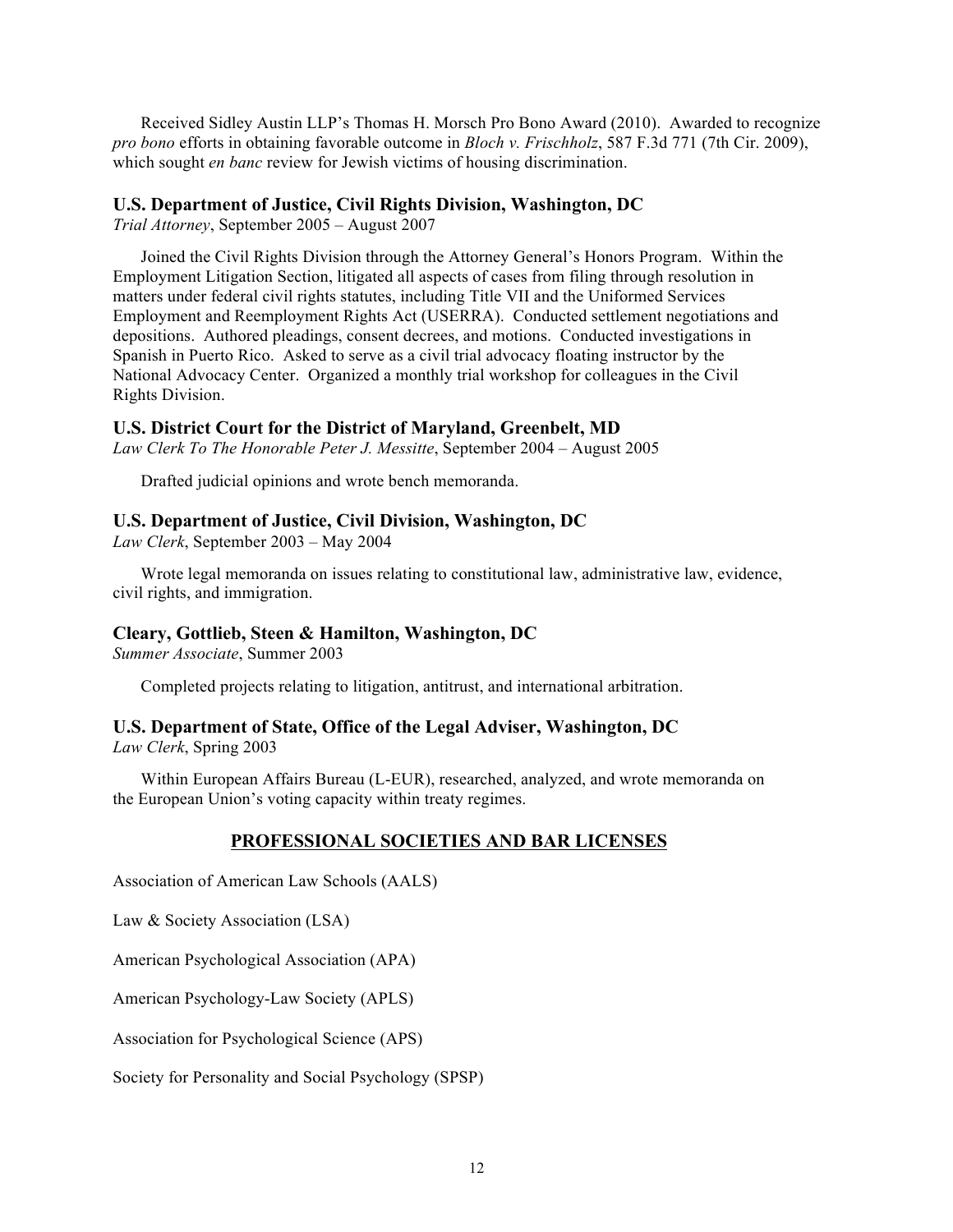Received Sidley Austin LLP's Thomas H. Morsch Pro Bono Award (2010). Awarded to recognize *pro bono* efforts in obtaining favorable outcome in *Bloch v. Frischholz*, 587 F.3d 771 (7th Cir. 2009), which sought *en banc* review for Jewish victims of housing discrimination.

#### **U.S. Department of Justice, Civil Rights Division, Washington, DC**

*Trial Attorney*, September 2005 – August 2007

Joined the Civil Rights Division through the Attorney General's Honors Program. Within the Employment Litigation Section, litigated all aspects of cases from filing through resolution in matters under federal civil rights statutes, including Title VII and the Uniformed Services Employment and Reemployment Rights Act (USERRA). Conducted settlement negotiations and depositions. Authored pleadings, consent decrees, and motions. Conducted investigations in Spanish in Puerto Rico. Asked to serve as a civil trial advocacy floating instructor by the National Advocacy Center. Organized a monthly trial workshop for colleagues in the Civil Rights Division.

#### **U.S. District Court for the District of Maryland, Greenbelt, MD**

*Law Clerk To The Honorable Peter J. Messitte*, September 2004 – August 2005

Drafted judicial opinions and wrote bench memoranda.

#### **U.S. Department of Justice, Civil Division, Washington, DC**

*Law Clerk*, September 2003 – May 2004

Wrote legal memoranda on issues relating to constitutional law, administrative law, evidence, civil rights, and immigration.

### **Cleary, Gottlieb, Steen & Hamilton, Washington, DC**

*Summer Associate*, Summer 2003

Completed projects relating to litigation, antitrust, and international arbitration.

### **U.S. Department of State, Office of the Legal Adviser, Washington, DC**

*Law Clerk*, Spring 2003

Within European Affairs Bureau (L-EUR), researched, analyzed, and wrote memoranda on the European Union's voting capacity within treaty regimes.

### **PROFESSIONAL SOCIETIES AND BAR LICENSES**

Association of American Law Schools (AALS)

Law & Society Association (LSA)

American Psychological Association (APA)

American Psychology-Law Society (APLS)

Association for Psychological Science (APS)

Society for Personality and Social Psychology (SPSP)